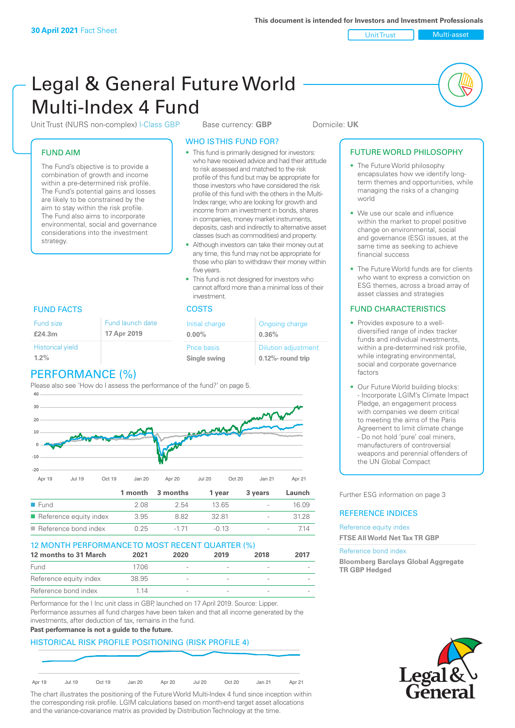Unit Trust Nulti-asset

# Legal & General Future World Multi-Index 4 Fund

Unit Trust (NURS non-complex) I-Class GBP Base currency: **GBP** Domicile: UK

### FUND AIM

The Fund's objective is to provide a combination of growth and income within a pre-determined risk profile. The Fund's potential gains and losses are likely to be constrained by the aim to stay within the risk profile. The Fund also aims to incorporate environmental, social and governance considerations into the investment strategy.

### WHO IS THIS FUND FOR?

- This fund is primarily designed for investors: who have received advice and had their attitude to risk assessed and matched to the risk profile of this fund but may be appropriate for those investors who have considered the risk profile of this fund with the others in the Multi-Index range; who are looking for growth and income from an investment in bonds, shares in companies, money market instruments, deposits, cash and indirectly to alternative asset classes (such as commodities) and property.
- Although investors can take their money out at any time, this fund may not be appropriate for those who plan to withdraw their money within five years.
- This fund is not designed for investors who cannot afford more than a minimal loss of their investment.

| Fund launch date<br>17 Apr 2019 | Initial charge<br>$0.00\%$  | Ongoing charge<br>0.36%                             |
|---------------------------------|-----------------------------|-----------------------------------------------------|
|                                 | Price basis<br>Single swing | <b>Dilution adjustment</b><br>$0.12\%$ - round trip |

### FUND FACTS COSTS

Fund size **£24.3m**

|                         | ٠ |
|-------------------------|---|
| <b>Historical yield</b> |   |
| 1.2%                    |   |
|                         |   |

### PERFORMANCE (%)

Please also see 'How do I assess the performance of the fund?' on page 5.



### 12 MONTH PERFORMANCE TO MOST RECENT QUARTER (%)

| 12 months to 31 March  | 2021  | 2020                     | 2019 | 2018   | 2017 |
|------------------------|-------|--------------------------|------|--------|------|
| Fund                   | 1706  | $\overline{\phantom{a}}$ |      |        |      |
| Reference equity index | 38.95 | $\overline{\phantom{a}}$ |      |        |      |
| Reference bond index   | 1 14  | $\overline{\phantom{a}}$ |      | $\sim$ |      |

Performance for the I Inc unit class in GBP, launched on 17 April 2019. Source: Lipper. Performance assumes all fund charges have been taken and that all income generated by the investments, after deduction of tax, remains in the fund.

#### **Past performance is not a guide to the future.**

### HISTORICAL RISK PROFILE POSITIONING (RISK PROFILE 4)



The chart illustrates the positioning of the Future World Multi-Index 4 fund since inception within the corresponding risk profile. LGIM calculations based on month-end target asset allocations and the variance-covariance matrix as provided by Distribution Technology at the time.

### FUTURE WORLD PHILOSOPHY

- The Future World philosophy encapsulates how we identify longterm themes and opportunities, while managing the risks of a changing world
- We use our scale and influence within the market to propel positive change on environmental, social and governance (ESG) issues, at the same time as seeking to achieve financial success
- The Future World funds are for clients who want to express a conviction on ESG themes, across a broad array of asset classes and strategies

### FUND CHARACTERISTICS

- Provides exposure to a welldiversified range of index tracker funds and individual investments, within a pre-determined risk profile while integrating environmental, social and corporate governance factors
- Our Future World building blocks: - Incorporate LGIM's Climate Impact Pledge, an engagement process with companies we deem critical to meeting the aims of the Paris Agreement to limit climate change - Do not hold 'pure' coal miners, manufacturers of controversial weapons and perennial offenders of the UN Global Compact

Further ESG information on page 3

### REFERENCE INDICES

#### Reference equity index **FTSE All World Net Tax TR GBP**

#### Reference bond index

**Bloomberg Barclays Global Aggregate TR GBP Hedged**

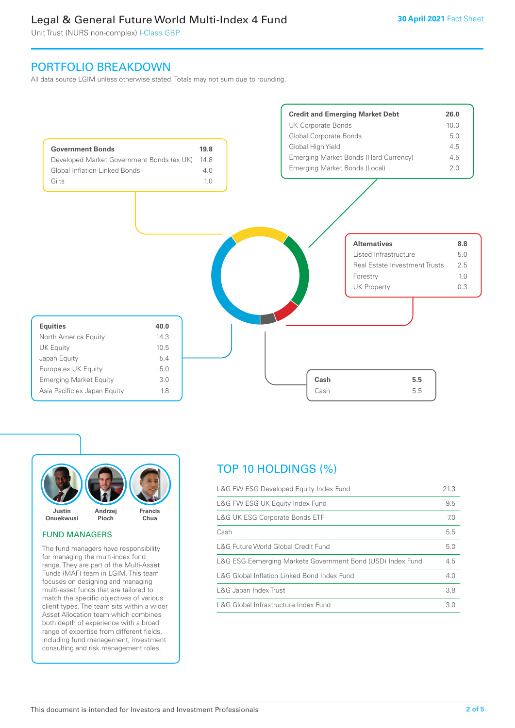Unit Trust (NURS non-complex) I-Class GBP

### PORTFOLIO BREAKDOWN

All data source LGIM unless otherwise stated. Totals may not sum due to rounding.





#### FUND MANAGERS

The fund managers have responsibility for managing the multi-index fund range. They are part of the Multi-Asset Funds (MAF) team in LGIM. This team focuses on designing and managing multi-asset funds that are tailored to match the specific objectives of various client types. The team sits within a wider Asset Allocation team which combines both depth of experience with a broad range of expertise from different fields, including fund management, investment consulting and risk management roles.

## TOP 10 HOLDINGS (%)

| L&G FW ESG Developed Equity Index Fund                     | 21.3 |
|------------------------------------------------------------|------|
| L&G FW ESG UK Equity Index Fund                            | 9.5  |
| <b>L&amp;G UK ESG Corporate Bonds ETF</b>                  | 7.0  |
| Cash                                                       | 5.5  |
| L&G Future World Global Credit Fund                        | 5.0  |
| L&G ESG Eemerging Markets Government Bond (USD) Index Fund | 4.5  |
| L&G Global Inflation Linked Bond Index Fund                | 4.0  |
| L&G Japan Index Trust                                      | 3.8  |
| L&G Global Infrastructure Index Fund                       | 3.0  |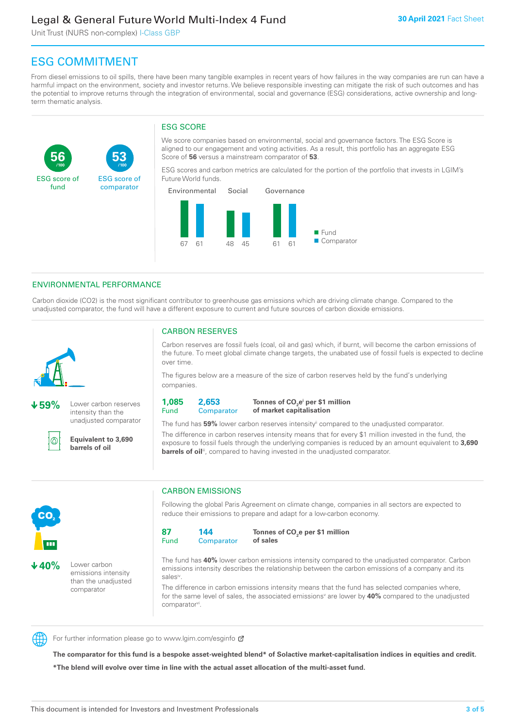Unit Trust (NURS non-complex) I-Class GBP

**53**

ESG score of comparator

## ESG COMMITMENT

**/100 /100**

From diesel emissions to oil spills, there have been many tangible examples in recent years of how failures in the way companies are run can have a harmful impact on the environment, society and investor returns. We believe responsible investing can mitigate the risk of such outcomes and has the potential to improve returns through the integration of environmental, social and governance (ESG) considerations, active ownership and longterm thematic analysis.

### ESG SCORE

We score companies based on environmental, social and governance factors. The ESG Score is aligned to our engagement and voting activities. As a result, this portfolio has an aggregate ESG Score of **56** versus a mainstream comparator of **53**.

ESG scores and carbon metrics are calculated for the portion of the portfolio that invests in LGIM's Future World funds.



### ENVIRONMENTAL PERFORMANCE

**59%** Lower carbon reserves intensity than the unadjusted comparator

> **Equivalent to 3,690 barrels of oil**

Carbon dioxide (CO2) is the most significant contributor to greenhouse gas emissions which are driving climate change. Compared to the unadjusted comparator, the fund will have a different exposure to current and future sources of carbon dioxide emissions.



൘

**56**

ESG score of fund

Carbon reserves are fossil fuels (coal, oil and gas) which, if burnt, will become the carbon emissions of

CARBON RESERVES

the future. To meet global climate change targets, the unabated use of fossil fuels is expected to decline over time.

The figures below are a measure of the size of carbon reserves held by the fund's underlying companies.

**1,085** Fund

**2,653 Comparator** 

**Tonnes of CO2 ei per \$1 million of market capitalisation**

The fund has **59%** lower carbon reserves intensityii compared to the unadjusted comparator. The difference in carbon reserves intensity means that for every \$1 million invested in the fund, the exposure to fossil fuels through the underlying companies is reduced by an amount equivalent to **3,690 barrels of oil**<sup>iii</sup>, compared to having invested in the unadjusted comparator.



**40%** Lower carbon emissions intensity than the unadjusted comparator

### CARBON EMISSIONS

Following the global Paris Agreement on climate change, companies in all sectors are expected to reduce their emissions to prepare and adapt for a low-carbon economy.

**87** Fund **144 Comparator** 

**Tonnes of CO2 e per \$1 million of sales**

The fund has **40%** lower carbon emissions intensity compared to the unadjusted comparator. Carbon emissions intensity describes the relationship between the carbon emissions of a company and its salesiv

The difference in carbon emissions intensity means that the fund has selected companies where, for the same level of sales, the associated emissions<sup>v</sup> are lower by 40% compared to the unadjusted comparator<sup>vi</sup>.



For further information please go to www.lgim.com/esginfo Ø

**The comparator for this fund is a bespoke asset-weighted blend\* of Solactive market-capitalisation indices in equities and credit. \*The blend will evolve over time in line with the actual asset allocation of the multi-asset fund.**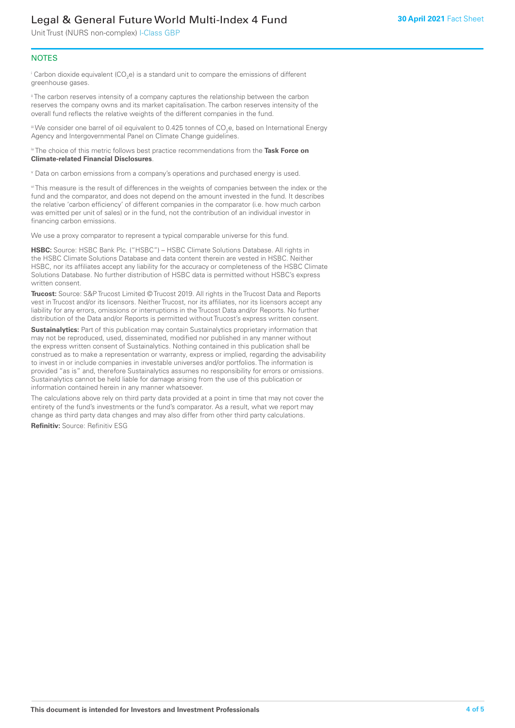Unit Trust (NURS non-complex) I-Class GBP

### **NOTES**

 $^\mathrm{i}$  Carbon dioxide equivalent (CO<sub>2</sub>e) is a standard unit to compare the emissions of different greenhouse gases.

<sup>ii</sup> The carbon reserves intensity of a company captures the relationship between the carbon reserves the company owns and its market capitalisation. The carbon reserves intensity of the overall fund reflects the relative weights of the different companies in the fund.

iii We consider one barrel of oil equivalent to 0.425 tonnes of CO<sub>2</sub>e, based on International Energy Agency and Intergovernmental Panel on Climate Change guidelines.

#### iv The choice of this metric follows best practice recommendations from the **Task Force on Climate-related Financial Disclosures**.

v Data on carbon emissions from a company's operations and purchased energy is used.

vi This measure is the result of differences in the weights of companies between the index or the fund and the comparator, and does not depend on the amount invested in the fund. It describes the relative 'carbon efficiency' of different companies in the comparator (i.e. how much carbon was emitted per unit of sales) or in the fund, not the contribution of an individual investor in financing carbon emissions.

We use a proxy comparator to represent a typical comparable universe for this fund.

**HSBC:** Source: HSBC Bank Plc. ("HSBC") – HSBC Climate Solutions Database. All rights in the HSBC Climate Solutions Database and data content therein are vested in HSBC. Neither HSBC, nor its affiliates accept any liability for the accuracy or completeness of the HSBC Climate Solutions Database. No further distribution of HSBC data is permitted without HSBC's express written consent.

**Trucost:** Source: S&P Trucost Limited © Trucost 2019. All rights in the Trucost Data and Reports vest in Trucost and/or its licensors. Neither Trucost, nor its affiliates, nor its licensors accept any liability for any errors, omissions or interruptions in the Trucost Data and/or Reports. No further distribution of the Data and/or Reports is permitted without Trucost's express written consent.

**Sustainalytics:** Part of this publication may contain Sustainalytics proprietary information that may not be reproduced, used, disseminated, modified nor published in any manner without the express written consent of Sustainalytics. Nothing contained in this publication shall be construed as to make a representation or warranty, express or implied, regarding the advisability to invest in or include companies in investable universes and/or portfolios. The information is provided "as is" and, therefore Sustainalytics assumes no responsibility for errors or omissions. Sustainalytics cannot be held liable for damage arising from the use of this publication or information contained herein in any manner whatsoever.

The calculations above rely on third party data provided at a point in time that may not cover the entirety of the fund's investments or the fund's comparator. As a result, what we report may change as third party data changes and may also differ from other third party calculations.

**Refinitiv:** Source: Refinitiv ESG